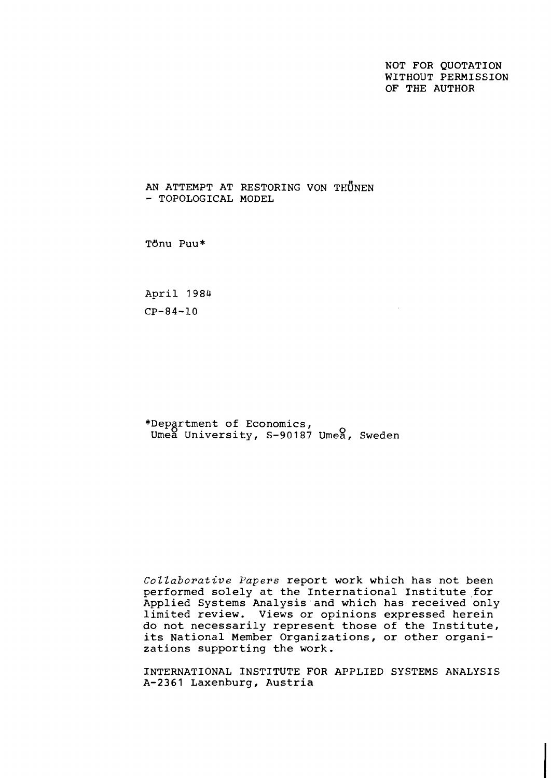NOT FOR QUOTATION WITHOUT PERMISSION OF THE AUTHOR

AN ATTEMPT AT RESTORING VON THÜNEN - TOPOLOGICAL MODEL

TBnu Puu\*

April 1984  $CP-84-10$ 

\*Department of Economics,<br>Umea University, S-90187 Umea, Sweden

Collaborative Papers report work which has not been performed solely at the International Institute for Applied Systems Analysis and which has received only limited review. Views or opinions expressed herein do not necessarily represent those of the Institute, its National Member Organizations, or other organizations supporting the work.

INTERNATIONAL INSTITUTE FOR APPLIED SYSTEMS ANALYSIS A-2361 Laxenburg, Austria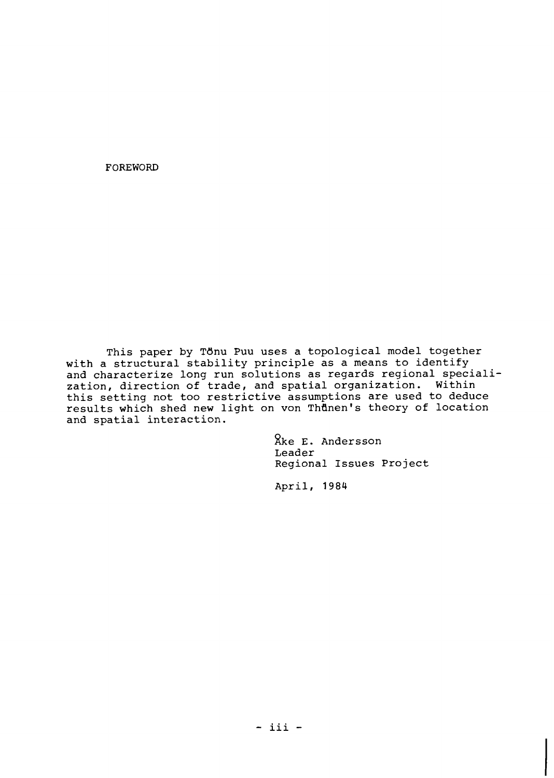FOREWORD

This paper by Tdnu Puu uses a topological model together with a structural stability principle as a means to identify and characterize long run solutions as regards regional specialization, direction of trade, and spatial organization. Within this setting not too restrictive assumptions are used to deduce results which shed new light on von Thunen's theory of location and spatial interaction.

> ake E. Andersson Leader Regional Issues Project

April, 1984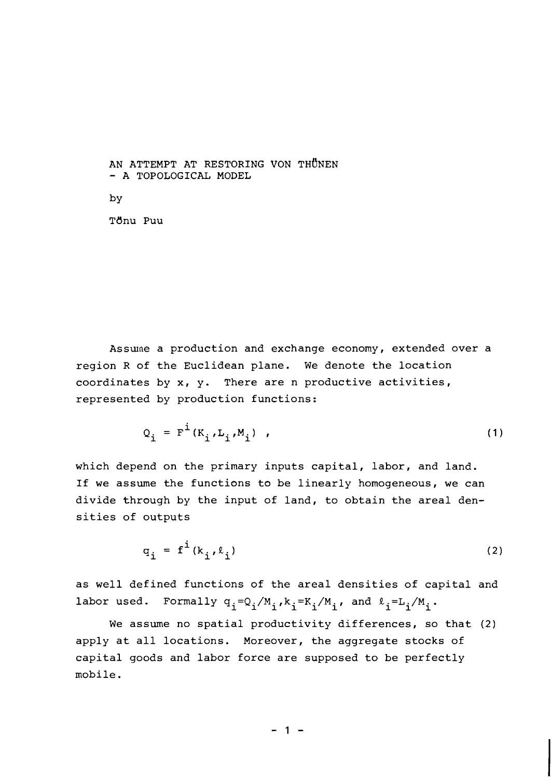AN ATTEMPT AT RESTORING VON THUNEN - A TOPOLOGICAL MODEL

by

T6nu Puu

Assume a production and exchange economy, extended over a region R of the Euclidean plane. We denote the location coordinates by x, y. There are n productive activities, represented by production functions:

$$
Q_{i} = F^{i}(K_{i}, L_{i}, M_{i}), \qquad (1)
$$

which depend on the primary inputs capital, labor, and land. If we assume the functions to be linearly homogeneous, we can divide through by the input of land, to obtain the areal densities of outputs

$$
q_{i} = f^{i}(k_{i}, \ell_{i})
$$
 (2)

as well defined functions of the areal densities of capital and labor used. Formally  $q_i = Q_i/M_i$ ,  $k_i = K_i/M_i$ , and  $\ell_i = L_i/M_i$ .

We assume no spatial productivity differences, so that **(2)**  apply at all locations. Moreover, the aggregate stocks of capital goods and labor force are supposed to be perfectly mobile.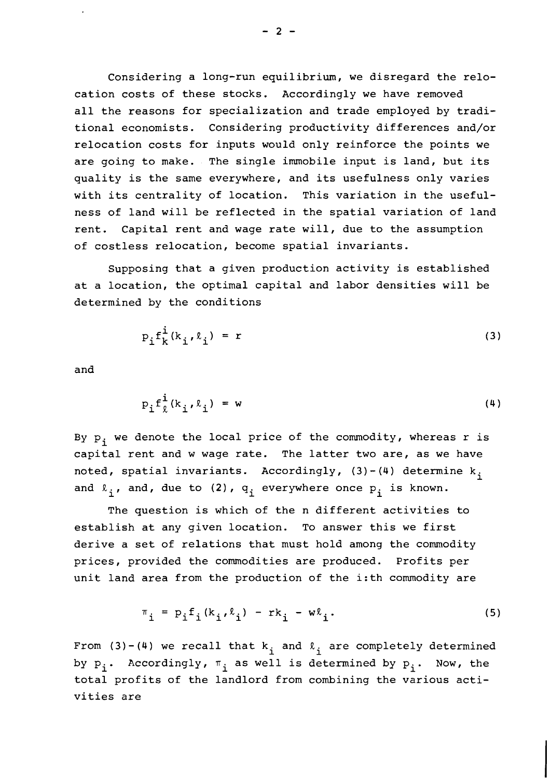Considering a long-run equilibrium, we disregard the relocation costs of these stocks. Accordingly we have removed all the reasons for specialization and trade employed by traditional economists. Considering productivity differences and/or relocation costs for inputs would only reinforce the points we are going to make. The single immobile input is land, but its quality is the same everywhere, and its usefulness only varies with its centrality of location. This variation in the usefulness of land will be reflected in the spatial variation of land rent. Capital rent and wage rate will, due to the assumption of costless relocation, become spatial invariants.

Supposing that a given production activity is established at a location, the optimal capital and labor densities will be determined by the conditions

$$
p_{i}f_{k}^{i}(k_{i},\ell_{i}) = r
$$
 (3)

and

$$
p_{i} f_{\ell}^{i} (k_{i}, \ell_{i}) = w
$$
 (4)

By  $p_i$ , we denote the local price of the commodity, whereas r is capital rent and w wage rate. The latter two are, as we have noted, spatial invariants. Accordingly,  $(3)-(4)$  determine k<sub>i</sub> and  $\ell_i$ , and, due to (2),  $q_i$  everywhere once  $p_i$  is known.

The question is which of the n different activities to establish at any given location. To answer this we first derive a set of relations that must hold among the commodity prices, provided the commodities are produced. Profits per unit land area from the production of the i:th commodity are

$$
\pi_{i} = p_{i} f_{i} (k_{i}, \ell_{i}) - r k_{i} - w \ell_{i}. \qquad (5)
$$

From (3)-(4) we recall that  $k_i$  and  $\ell_i$  are completely determined by  $p_i$ . Accordingly,  $\pi_i$  as well is determined by  $p_i$ . Now, the total profits of the landlord from combining the various activities are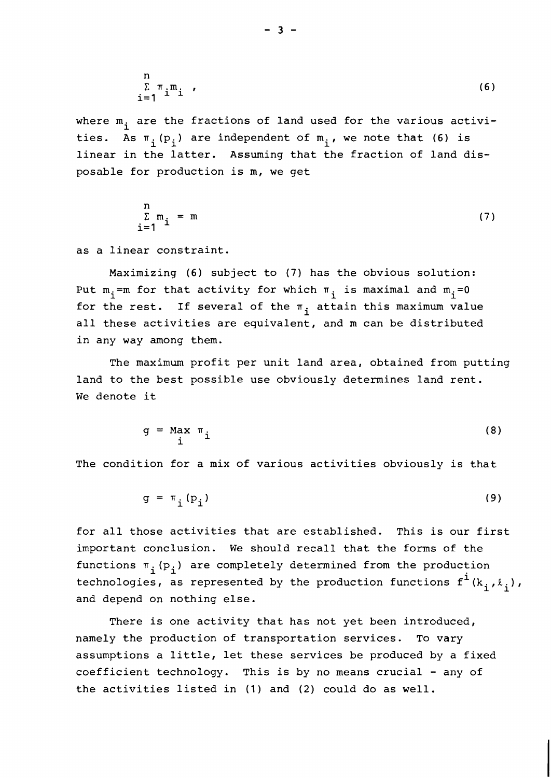$$
\sum_{i=1}^{n} \pi_i m_i
$$
 (6)

where  $m_i$  are the fractions of land used for the various activities. As  $\pi_{\texttt{i}}^{\texttt{(p_i)}}$  are independent of  $\texttt{m_i}$ , we note that (6) is linear in the latter. Assuming that the fraction of land disposable for production is m, we get

$$
\sum_{i=1}^{n} m_i = m \tag{7}
$$

as a linear constraint.

Maximizing (6) subject to (7) has the obvious solution: Put  $m_{\underline{i}}$ =m for that activity for which  $\pi_{\underline{i}}$  is maximal and  $m_{\underline{i}}$ =0 for the rest. If several of the  $\pi_i$  attain this maximum value all these activities are equivalent, and m can be distributed in any way among them.

The maximum profit per unit land area, obtained from putting land to the best possible use obviously determines land rent. We denote it

$$
g = \text{Max } \pi_{i} \tag{8}
$$

The condition for a mix of various activities obviously is that

$$
g = \pi_i(p_i) \tag{9}
$$

for all those activities that are established. This is our first important conclusion. We should recall that the forms of the functions  $\pi_i(p_i)$  are completely determined from the production technologies, as represented by the production functions  $f^i(k_i, \ell_i)$ , and depend on nothing else.

There is one activity that has not yet been introduced, namely the production of transportation services. To vary assumptions a little, let these services be produced by a fixed coefficient technology. This is by no means crucial - any of the activities listed in  $(1)$  and  $(2)$  could do as well.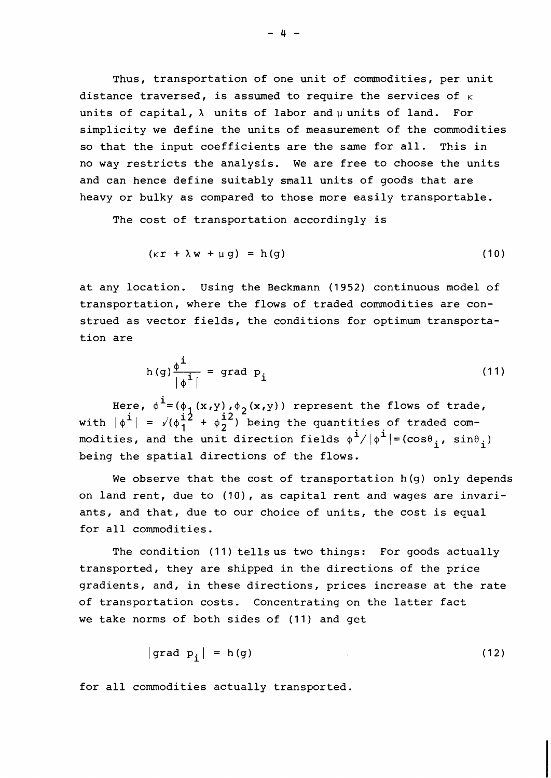Thus, transportation of one unit of commodities, per unit distance traversed, is assumed to require the services of  $K$ units of capital,  $\lambda$  units of labor and u units of land. For simplicity we define the units of measurement of the commodities so that the input coefficients are the same for all. This in no way restricts the analysis. We are free to choose the units and can hence define suitably small units of goods that are heavy or bulky as compared to those more easily transportable.

The cost of transportation accordingly is

$$
(\kappa r + \lambda w + \mu g) = h(g) \tag{10}
$$

at any location. Using the Beckmann (1952) continuous model of transportation, where the flows of traded commodities are construed as vector fields, the conditions for optimum transportation are

$$
h(g)\frac{\phi^{\mathbf{i}}}{\left|\phi^{\mathbf{i}}\right|} = \text{grad } p_{\mathbf{i}} \tag{11}
$$

Here,  $\phi^{\mathbf{i}} = (\phi_1(x, y), \phi_2(x, y))$  represent the flows of trade, with  $|\phi^{\mathbf{i}}| = \sqrt{(\phi_1^{\mathbf{i}2} + \phi_2^{\mathbf{i}2})}$  being the quantities of traded commodities, and the unit direction fields  $\phi^{\mathbf{i}}/|\phi^{\mathbf{i}}|$  = (cos $\theta_{\mathbf{i}}$ , sin $\theta_{\mathbf{i}}$ ) being the spatial directions of the flows.

We observe that the cost of transportation h(g) only depends on land rent, due to (10), as capital rent and wages are invariants, and that, due to our choice of units, the cost is equal for all commodities.

The condition (11) tells us two things: For goods actually transported, they are shipped in the directions of the price gradients, and, in these directions, prices increase at the rate of transportation costs. Concentrating on the latter fact we take norms of both sides of (11) and get

$$
\text{grad } p_i \mid = h(g) \tag{12}
$$

for all commodities actually transported.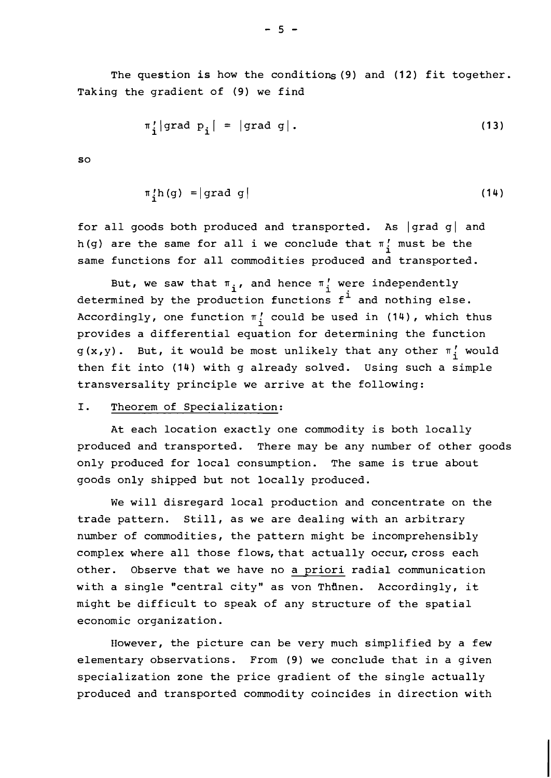The question is how the conditions (9) and (12) fit together. Taking the gradient of (9) we find

$$
\pi'_i | \text{grad } p_i | = | \text{grad } g |. \tag{13}
$$

 $SO$ 

$$
\pi \, \text{th} \, (\text{g}) = |\text{grad} \, \text{g}| \tag{14}
$$

for all goods both produced and transported. As  $|grad g|$  and h(g) are the same for all i we conclude that  $\pi_i$  must be the same functions for all commodities produced and transported.

But, we saw that  $\pi_{i}$ , and hence  $\pi'_{i}$  were independently determined by the production functions  $f^{\text{1}}$  and nothing else. Accordingly, one function  $\pi'_1$  could be used in (14), which thus provides a differential equation for determining the function  $g(x,y)$ . But, it would be most unlikely that any other  $\pi_i'$  would then fit into (14) with g already solved. Using such a simple transversality principle we arrive at the following:

## I. Theorem of Specialization:

At each location exactly one commodity is both locally produced and transported. There may be any number of other goods only produced for local consumption. The same is true about goods only shipped but not locally produced.

We will disregard local production and concentrate on the trade pattern. Still, as we are dealing with an arbitrary number of commodities, the pattern might be incomprehensibly complex where all those flows, that actually occur, cross each other. Observe that we have no a priori radial communication with a single "central city" as von Thünen. Accordingly, it might be difficult to speak of any structure of the spatial economic organization.

However, the picture can be very much simplified by a few elementary observations. From (9) we conclude that in a given specialization zone the price gradient of the single actually produced and transported commodity coincides in direction with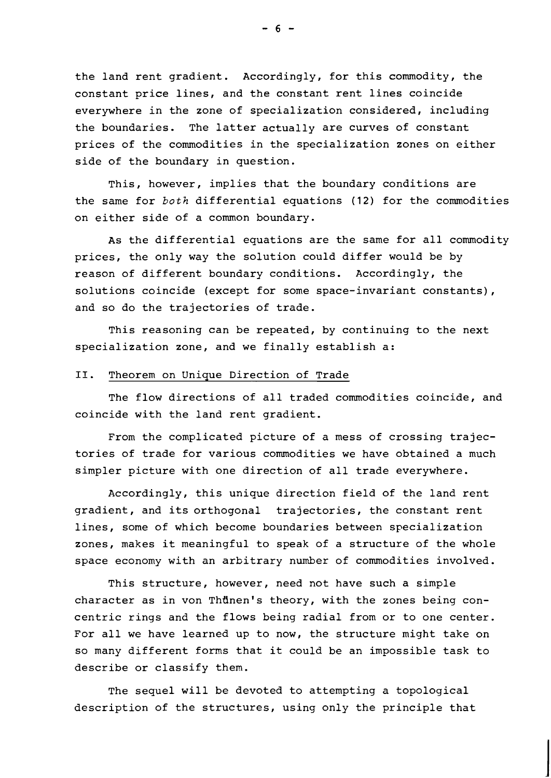the land rent gradient. Accordingly, for this commodity, the constant price lines, and the constant rent lines coincide everywhere in the zone of specialization considered, including the boundaries. The latter actually are curves of constant prices of the commodities in the specialization zones on either side of the boundary in question.

This, however, implies that the boundary conditions are the same for both differential equations (12) for the commodities on either side of a common boundary.

As the differential equations are the same for all commodity prices, the only way the solution could differ would be by reason of different boundary conditions. Accordingly, the solutions coincide (except for some space-invariant constants), and so do the trajectories of trade.

This reasoning can be repeated, by continuing to the next specialization zone, and we finally establish a:

## **11.** Theorem on Unique Direction of Trade

The flow directions of all traded commodities coincide, and coincide with the land rent gradient.

From the complicated picture of a mess of crossing trajectories of trade for various commodities we have obtained a much simpler picture with one direction of all trade everywhere.

Accordingly, this unique direction field of the land rent gradient, and its orthogonal trajectories, the constant rent lines, some of which become boundaries between specialization zones, makes it meaningful to speak of a structure of the whole space economy with an arbitrary number of commodities involved.

This structure, however, need not have such a simple character as in von Thünen's theory, with the zones being concentric rings and the flows being radial from or to one center. For all we have learned up to now, the structure might take on so many different forms that it could be an impossible task to describe or classify them.

The sequel will be devoted to attempting a topological description of the structures, using only the principle that

 $-6 -$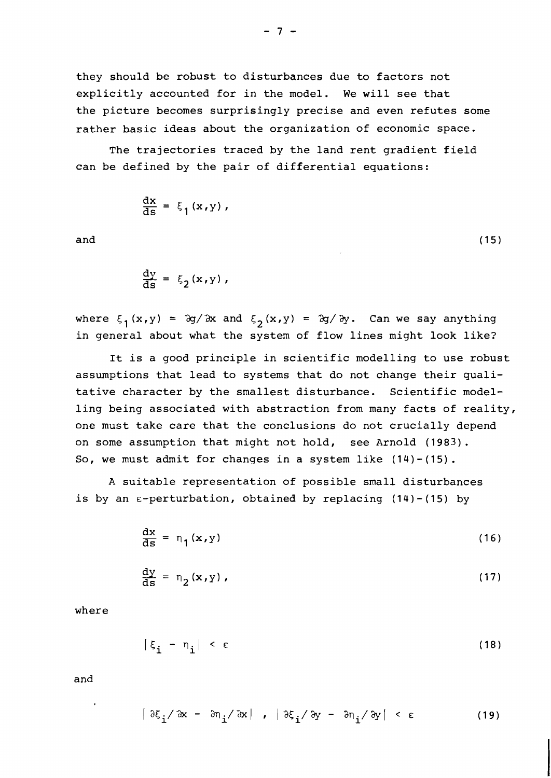they should be robust to disturbances due to factors not explicitly accounted for in the model. We will see that the picture becomes surprisingly precise and even refutes some rather basic ideas about the organization of economic space.

The trajectories traced by the land rent gradient field can be defined by the pair of differential equations:

$$
\frac{\mathrm{d}x}{\mathrm{d}s} = \xi_1(x,y),
$$

and

 $\frac{dy}{ds} = \xi_2(x,y),$ 

where  $\xi_1(x,y) = \partial g / \partial x$  and  $\xi_2(x,y) = \partial g / \partial y$ . Can we say anything in general about what the system of flow lines might look like?

 $(15)$ 

It is a good principle in scientific modelling to use robust assumptions that lead to systems that do not change their qualitative character by the smallest disturbance. Scientific modelling being associated with abstraction from many facts of reality, one must take care that the conclusions do not crucially depend on some assumption that might not hold, see Arnold (1983). So, we must admit for changes in a system like (14)-(15).

A suitable representation of possible small disturbances is by an  $\epsilon$ -perturbation, obtained by replacing (14)-(15) by

$$
\frac{\mathrm{d}x}{\mathrm{d}s} = \eta_1(x, y) \tag{16}
$$

$$
\frac{dy}{ds} = \eta_2(x, y) \tag{17}
$$

where

$$
|\xi_{i} - \eta_{i}| < \varepsilon \tag{18}
$$

and

$$
|\partial \xi_{\mathbf{i}} / \partial x - \partial \eta_{\mathbf{i}} / \partial x | , |\partial \xi_{\mathbf{i}} / \partial y - \partial \eta_{\mathbf{i}} / \partial y | < \epsilon
$$
 (19)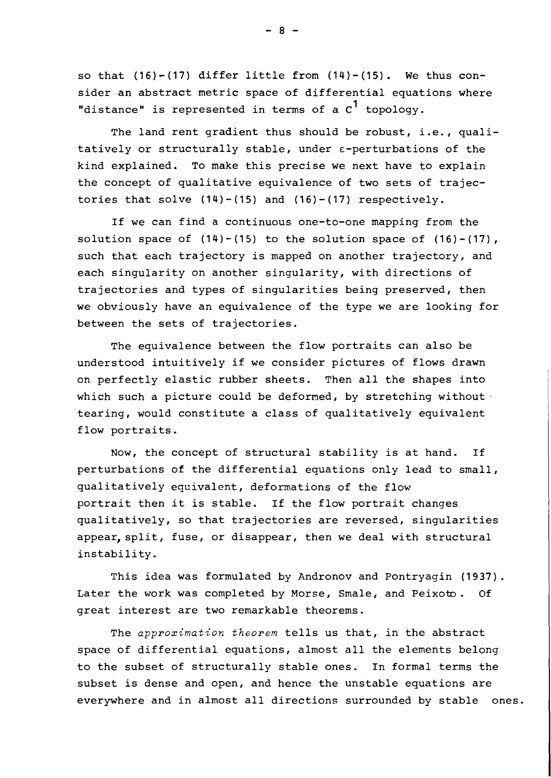so that **(16)-(17)** differ little from **(14)-(15).** We thus consider an abstract metric space of differential equations where "distance" is represented in terms of a C<sup>1</sup> topology.

The land rent gradient thus should be robust, i.e., qualitatively or structurally stable, under  $\varepsilon$ -perturbations of the kind explained. To make this precise we next have to explain the concept of qualitative equivalence of two sets of trajectories that solve **(14)** - (15) and **(16)** - **(17)** respectively.

If we can find a continuous one-to-one mapping from the solution space of **(14)** - **(15)** to the solution space of **(16)** - **(17)** , such that each trajectory is mapped on another trajectory, and each singularity on another singularity, with directions of trajectories and types of singularities being preserved, then we obviously have an equivalence of the type we are looking for between the sets of trajectories.

The equivalence between the flow portraits can also be understood intuitively if we consider pictures of flows drawn on perfectly elastic rubber sheets. Then all the shapes into which such a picture could be deformed, by stretching without. tearing, would constitute a class of qualitatively equivalent flow portraits.

Now, the concept of structural stability is at hand. If perturbations of the differential equations only lead to small, qualitatively equivalent, deformations of the flow portrait then it is stable. If the flow portrait changes qualitatively, so that trajectories are reversed, singularities appear, split, fuse, or disappear, then we deal with structural instability.

This idea was formulated by Andronov and Pontryagin **(1937).**  Later the work was completed by Morse, Smale, and Peixoto. Of great interest are two remarkable theorems.

The **approximation theorem** tells us that, in the abstract space of differential equations, almost all the elements belong to the subset of structurally stable ones. In formal terms the subset is dense and open, and hence the unstable equations are everywhere and in almost all directions surrounded by stable ones.

 $-8-$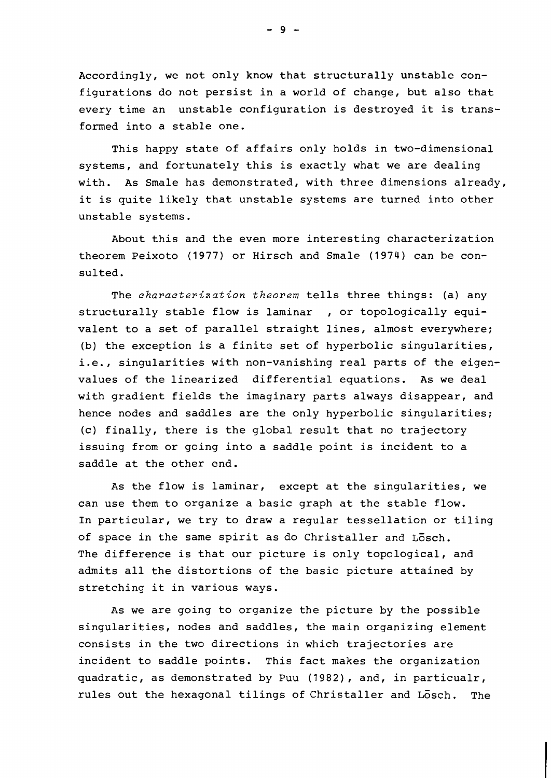Accordingly, we not only know that structurally unstable configurations do not persist in a world of change, but also that every time an unstable configuration is destroyed it is transformed into a stable one.

This happy state of affairs only holds in two-dimensional systems, and fortunately this is exactly what we are dealing with. As Smale has demonstrated, with three dimensions already, it is quite likely that unstable systems are turned into other unstable systems.

About this and the even more interesting characterization theorem Peixoto (1977) or Hirsch and Smale (1974) can be consulted.

The **characterization theorem** tells three things: (a) any structurally stable flow is laminar , or topologically equivalent to a set of parallel straight lines, almost everywhere; (b) the exception is a finite set of hyperbolic singularities, i.e., singularities with non-vanishing real parts of the eigenvalues of the linearized differential equations. As we deal with gradient fields the imaginary parts always disappear, and hence nodes and saddles are the only hyperbolic singularities; (c) finally, there is the global result that no trajectory issuing from or going into a saddle point is incident to a saddle at the other end.

As the flow is laminar, except at the singularities, we can use them to organize a basic graph at the stable flow. In particular, we try to draw a regular tessellation or tiling of space in the same spirit as do Christaller and Losch. The difference is that our picture is only topological, and admits all the distortions of the basic picture attained by stretching it in various ways.

AS we are going to organize the picture by the possible singularities, nodes and saddles, the main organizing element consists in the two directions in which trajectories are incident to saddle points. This fact makes the organization quadratic, as demonstrated by Puu (1982), and, in particualr, rules out the hexagonal tilings of Christaller and Losch. The

 $-9 -$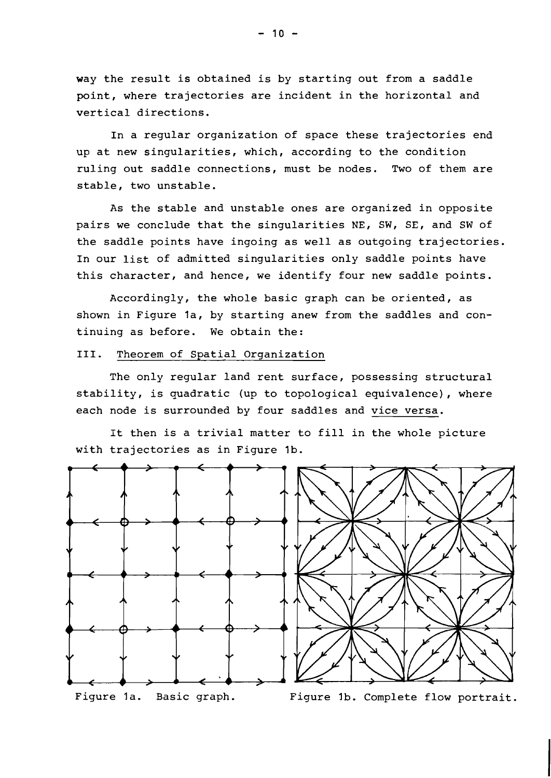way the result is obtained is by starting out from a saddle point, where trajectories are incident in the horizontal and vertical directions.

In a regular organization of space these trajectories end up at new singularities, which, according to the condition ruling out saddle connections, must be nodes. Two of them are stable, two unstable.

As the stable and unstable ones are organized in opposite pairs we conclude that the singularities NE, SW, SE, and SW of the saddle points have ingoing as well as outgoing trajectories. In our list of admitted singularities only saddle points have this character, and hence, we identify four new saddle points.

Accordingly, the whole basic graph can be oriented, as shown in Figure 1a, by starting anew from the saddles and continuing as before. We obtain the:

## III. Theorem of Spatial Organization

The only regular land rent surface, possessing structural stability, is quadratic (up to topological equivalence), where each node is surrounded by four saddles and vice versa.

It then is a trivial matter to fill in the whole picture with trajectories as in Figure Ib.

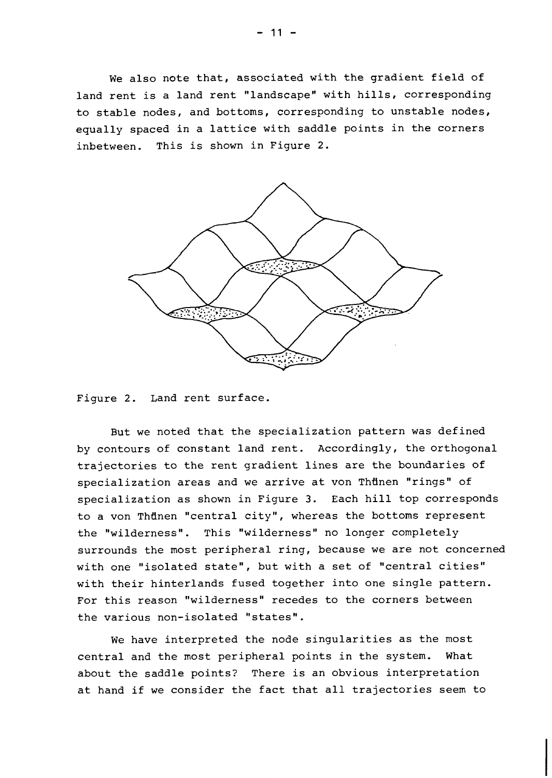We also note that, associated with the gradient field of land rent is a land rent "landscape" with hills, corresponding to stable nodes, and bottoms, corresponding to unstable nodes, equally spaced in a lattice with saddle points in the corners inbetween. This is shown in Figure 2.



Figure 2. Land rent surface.

But we noted that the specialization pattern was defined by contours of constant land rent. Accordingly, the orthogonal trajectories to the rent gradient lines are the boundaries of specialization areas and we arrive at von Thünen "rings" of specialization as shown in Figure 3. Each hill top corresponds to a von Thdnen "central city", whereas the bottoms represent the "wilderness". This "wilderness" no longer completely surrounds the most peripheral ring, because we are not concerned with one "isolated state", but with a set of "central cities" with their hinterlands fused together into one single pattern. For this reason "wilderness" recedes to the corners between the various non-isolated "states".

We have interpreted the node singularities as the most central and the most peripheral points in the system. What about the saddle points? There is an obvious interpretation at hand if we consider the fact that all trajectories seem to

 $-11 -$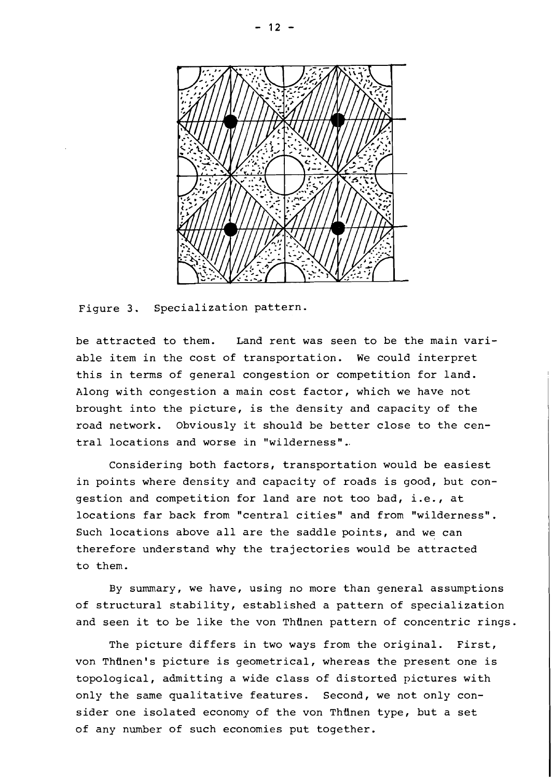

Figure 3. Specialization pattern.

be attracted to them. Land rent was seen to be the main variable item in the cost of transportation. We could interpret this in terms of general congestion or competition for land. Along with congestion a main cost factor, which we have not brought into the picture, is the density and capacity of the road network. Obviously it should be better close to the central locations and worse in "wilderness"..

Considering both factors, transportation would be easiest in points where density and capacity of roads is good, but congestion and competition for land are not too bad, i.e., at locations far back from "central cities" and from "wilderness". Such locations above all are the saddle points, and we can therefore understand why the trajectories would be attracted to them.

By summary, we have, using no more than general assumptions of structural stability, established a pattern of specialization and seen it to be like the von Thünen pattern of concentric rings.

The picture differs in two ways from the original. First, von Thünen's picture is geometrical, whereas the present one is topological, admitting a wide class of distorted pictures with only the same qualitative features. Second, we not only consider one isolated economy of the von Thunen type, but a set of any number of such economies put together.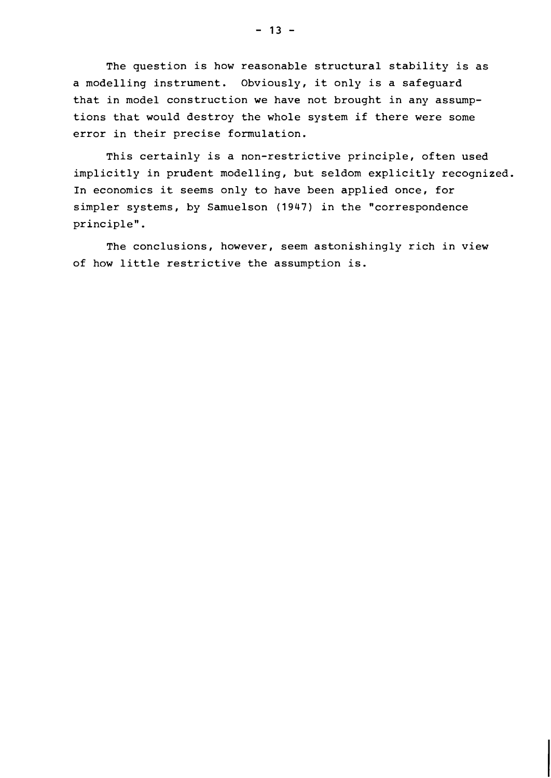The question is how reasonable structural stability is as a modelling instrument. Obviously, it only is a safeguard that in model construction we have not brought in any assumptions that would destroy the whole system if there were some error in their precise formulation.

This certainly is a non-restrictive principle, often used implicitly in prudent modelling, but seldom explicitly recognized. In economics it seems only to have been applied once, for simpler systems, by Samuelson (1947) in the "correspondence principle".

The conclusions, however, seem astonishingly rich in view of how little restrictive the assumption is.